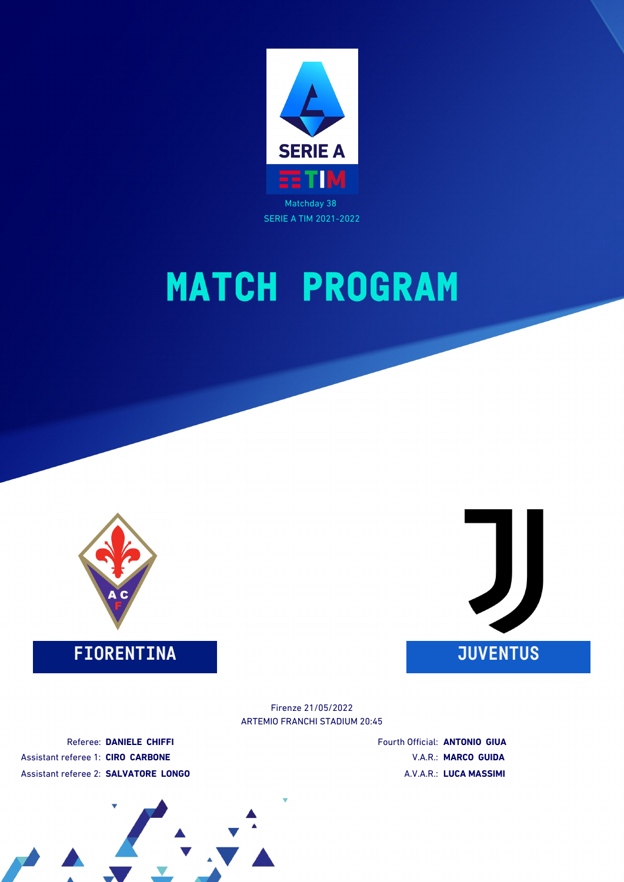



## **FIORENTINA JUVENTUS**



ARTEMIO FRANCHI STADIUM 20:45 Firenze 21/05/2022

Referee: **DANIELE CHIFFI** Assistant referee 1: **CIRO CARBONE** Assistant referee 2: **SALVATORE LONGO** Fourth Official: **ANTONIO GIUA** V.A.R.: **MARCO GUIDA** A.V.A.R.: **LUCA MASSIMI**

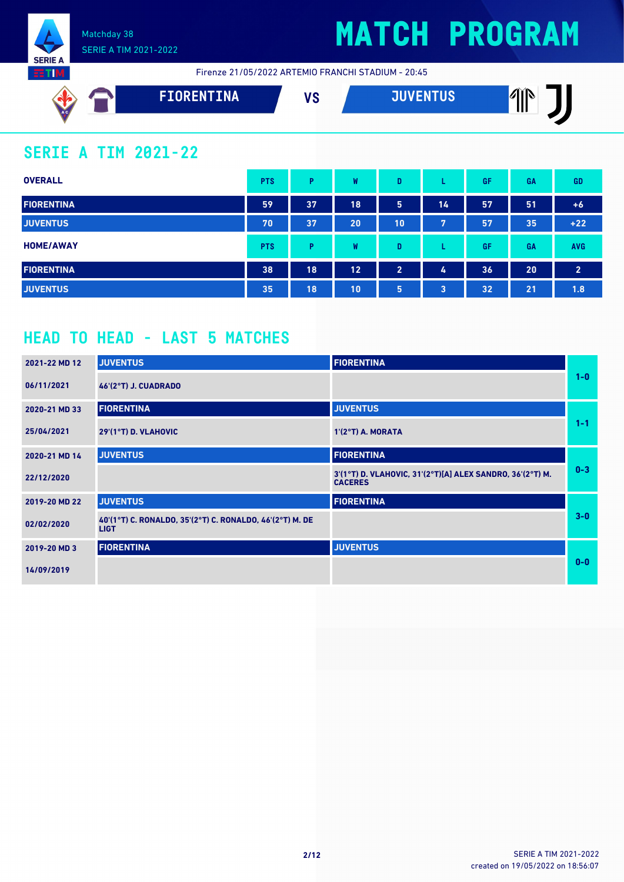

# **MATCH PROGRAM**

Firenze 21/05/2022 ARTEMIO FRANCHI STADIUM - 20:45

| AC | <b>FIORENTINA</b> | 170 | <b>THVENTHO</b> | ЛĭN |
|----|-------------------|-----|-----------------|-----|
|    |                   | o   | U 27            | III |
|    |                   |     |                 |     |

### **SERIE A TIM 2021-22**

| <b>OVERALL</b>    | <b>PTS</b> | P  | W  | D              |    | GF | <b>GA</b> | <b>GD</b>      |
|-------------------|------------|----|----|----------------|----|----|-----------|----------------|
| <b>FIORENTINA</b> | 59         | 37 | 18 | 5              | 14 | 57 | 51        | $+6$           |
| <b>JUVENTUS</b>   | 70         | 37 | 20 | 10             | 7  | 57 | 35        | $+22$          |
| <b>HOME/AWAY</b>  | <b>PTS</b> | Þ  | W  | D              |    | GF | GA        | <b>AVG</b>     |
| <b>FIORENTINA</b> | 38         | 18 | 12 | $\overline{2}$ | 4  | 36 | 20        | $\overline{2}$ |
| <b>JUVENTUS</b>   | 35         | 18 | 10 | 5              | 3  | 32 | 21        | 1.8            |

## **HEAD TO HEAD - LAST 5 MATCHES**

| 2021-22 MD 12 | <b>JUVENTUS</b>                                                         | <b>FIORENTINA</b>                                                           |         |
|---------------|-------------------------------------------------------------------------|-----------------------------------------------------------------------------|---------|
| 06/11/2021    | <b>46'(2°T) J. CUADRADO</b>                                             |                                                                             | $1-0$   |
| 2020-21 MD 33 | <b>FIORENTINA</b>                                                       | <b>JUVENTUS</b>                                                             |         |
| 25/04/2021    | 29'(1°T) D. VLAHOVIC                                                    | $1'(2°T)$ A. MORATA                                                         | $1 - 1$ |
| 2020-21 MD 14 | <b>JUVENTUS</b>                                                         | <b>FIORENTINA</b>                                                           |         |
| 22/12/2020    |                                                                         | 3'(1°T) D. VLAHOVIC, 31'(2°T)[A] ALEX SANDRO, 36'(2°T) M.<br><b>CACERES</b> | $0 - 3$ |
| 2019-20 MD 22 | <b>JUVENTUS</b>                                                         | <b>FIORENTINA</b>                                                           |         |
| 02/02/2020    | 40'(1°T) C. RONALDO, 35'(2°T) C. RONALDO, 46'(2°T) M. DE<br><b>LIGT</b> |                                                                             | $3-0$   |
| 2019-20 MD 3  | <b>FIORENTINA</b>                                                       | <b>JUVENTUS</b>                                                             |         |
| 14/09/2019    |                                                                         |                                                                             | $0 - 0$ |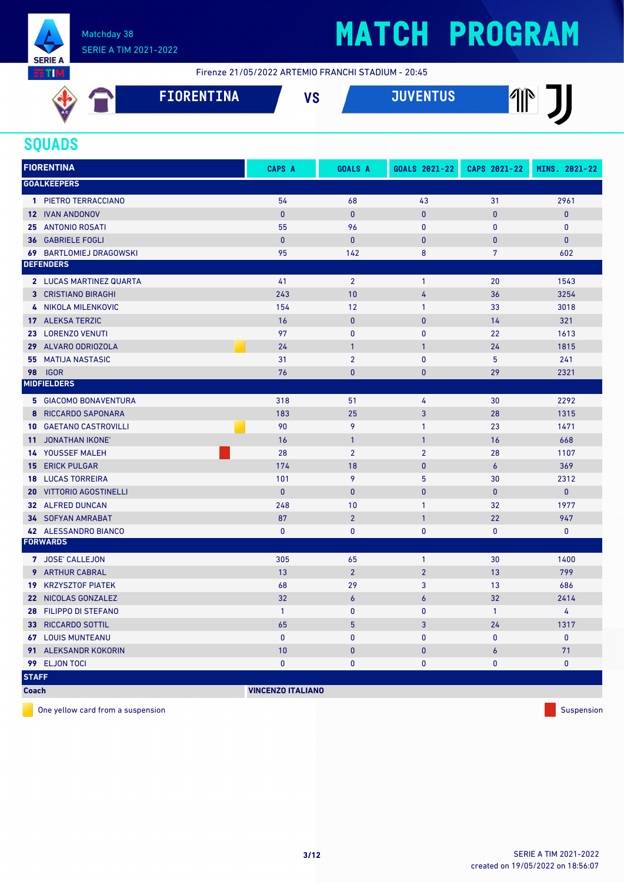

# **MATCH PROGRAM**

Firenze 21/05/2022 ARTEMIO FRANCHI STADIUM - 20:45

| AC. | <b>FIORENTINA</b> | 110<br>o | <b>JUVENTUS</b> | ЛĭN<br>Ш |
|-----|-------------------|----------|-----------------|----------|
|     |                   |          |                 |          |

### **SQUADS**

|                 | <b>FIORENTINA</b>              | CAPS A                   | <b>GOALS A</b>   | GOALS 2021-22    | CAPS 2021-22    | MINS. 2021-22 |
|-----------------|--------------------------------|--------------------------|------------------|------------------|-----------------|---------------|
|                 | <b>GOALKEEPERS</b>             |                          |                  |                  |                 |               |
|                 | 1 PIETRO TERRACCIANO           | 54                       | 68               | 43               | 31              | 2961          |
|                 | <b>12 IVAN ANDONOV</b>         | $\pmb{0}$                | $\pmb{0}$        | $\pmb{0}$        | $\bf{0}$        | $\bf{0}$      |
|                 | 25 ANTONIO ROSATI              | 55                       | 96               | $\mathbf{0}$     | 0               | 0             |
|                 | <b>36 GABRIELE FOGLI</b>       | $\mathbf{0}$             | $\mathbf{0}$     | $\mathbf{0}$     | 0               | $\pmb{0}$     |
|                 | <b>69 BARTLOMIEJ DRAGOWSKI</b> | 95                       | 142              | 8                | $7\overline{ }$ | 602           |
|                 | <b>DEFENDERS</b>               |                          |                  |                  |                 |               |
|                 | 2 LUCAS MARTINEZ QUARTA        | 41                       | $\overline{2}$   | $\mathbf{1}$     | 20              | 1543          |
|                 | <b>3 CRISTIANO BIRAGHI</b>     | 243                      | 10               | 4                | 36              | 3254          |
|                 | 4 NIKOLA MILENKOVIC            | 154                      | 12               | $\mathbf{1}$     | 33              | 3018          |
|                 | 17 ALEKSA TERZIC               | 16                       | $\mathbf{0}$     | $\mathbf{0}$     | 14              | 321           |
|                 | 23 LORENZO VENUTI              | 97                       | $\mathbf{0}$     | $\mathbf{0}$     | 22              | 1613          |
|                 | 29 ALVARO ODRIOZOLA            | 24                       | $\mathbf{1}$     | $\mathbf{1}$     | 24              | 1815          |
| 55              | <b>MATIJA NASTASIC</b>         | 31                       | $\overline{2}$   | $\mathbf{0}$     | 5               | 241           |
| 98              | <b>IGOR</b>                    | 76                       | $\bf{0}$         | $\mathbf{0}$     | 29              | 2321          |
|                 | <b>MIDFIELDERS</b>             |                          |                  |                  |                 |               |
|                 | <b>5 GIACOMO BONAVENTURA</b>   | 318                      | 51               | 4                | 30              | 2292          |
|                 | 8 RICCARDO SAPONARA            | 183                      | 25               | $\overline{3}$   | 28              | 1315          |
|                 | <b>10 GAETANO CASTROVILLI</b>  | 90                       | 9                | $\mathbf{1}$     | 23              | 1471          |
| 11 <sup>1</sup> | <b>JONATHAN IKONE</b>          | 16                       | $\mathbf{1}$     | $\mathbf{1}$     | 16              | 668           |
|                 | 14 YOUSSEF MALEH               | 28                       | $\overline{2}$   | $\overline{2}$   | 28              | 1107          |
|                 | <b>15 ERICK PULGAR</b>         | 174                      | 18               | $\pmb{0}$        | 6               | 369           |
|                 | <b>18 LUCAS TORREIRA</b>       | 101                      | 9                | 5                | 30              | 2312          |
| 20              | <b>VITTORIO AGOSTINELLI</b>    | $\mathbf{0}$             | $\mathbf{0}$     | $\mathbf{0}$     | $\bf{0}$        | $\pmb{0}$     |
|                 | 32 ALFRED DUNCAN               | 248                      | 10               | $\mathbf{1}$     | 32              | 1977          |
|                 | <b>34 SOFYAN AMRABAT</b>       | 87                       | $\overline{2}$   | $\mathbf{1}$     | 22              | 947           |
|                 | 42 ALESSANDRO BIANCO           | $\mathbf{0}$             | $\pmb{0}$        | $\pmb{0}$        | 0               | $\mathbf 0$   |
|                 | <b>FORWARDS</b>                |                          |                  |                  |                 |               |
|                 | 7 JOSE' CALLEJON               | 305                      | 65               | $\mathbf{1}$     | 30              | 1400          |
|                 | 9 ARTHUR CABRAL                | 13                       | $\overline{2}$   | $\overline{2}$   | 13              | 799           |
| 19 <sup>1</sup> | <b>KRZYSZTOF PIATEK</b>        | 68                       | 29               | 3                | 13              | 686           |
|                 | 22 NICOLAS GONZALEZ            | 32                       | $\boldsymbol{6}$ | $\boldsymbol{6}$ | 32              | 2414          |
|                 | 28 FILIPPO DI STEFANO          | $\mathbf{1}$             | $\bf{0}$         | $\mathbf{0}$     | $\mathbf{1}$    | 4             |
|                 | 33 RICCARDO SOTTIL             | 65                       | 5                | 3                | 24              | 1317          |
|                 | <b>67 LOUIS MUNTEANU</b>       | $\mathbf{0}$             | $\mathbf{0}$     | $\mathbf{0}$     | 0               | $\pmb{0}$     |
|                 | 91 ALEKSANDR KOKORIN           | 10                       | $\mathbf{0}$     | $\mathbf{0}$     | 6               | 71            |
|                 | 99 ELJON TOCI                  | $\bf{0}$                 | $\pmb{0}$        | $\pmb{0}$        | 0               | $\mathbf 0$   |
| <b>STAFF</b>    |                                |                          |                  |                  |                 |               |
| <b>Coach</b>    |                                | <b>VINCENZO ITALIANO</b> |                  |                  |                 |               |

One yellow card from a suspension Suspension Suspension Suspension Suspension Suspension Suspension Suspension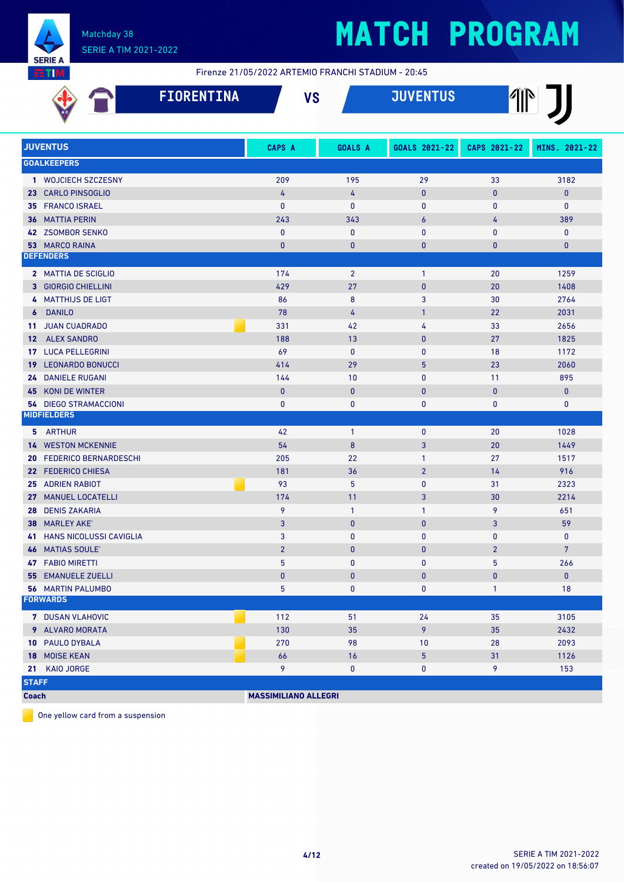

# **MATCH PROGRAM**

Firenze 21/05/2022 ARTEMIO FRANCHI STADIUM - 20:45

| <b>FIORENTINA</b>                                       |                             | <b>VS</b>          | <b>JUVENTUS</b>              |                    |                     |
|---------------------------------------------------------|-----------------------------|--------------------|------------------------------|--------------------|---------------------|
| <b>JUVENTUS</b>                                         | <b>CAPS A</b>               | <b>GOALS A</b>     | GOALS 2021-22                | CAPS 2021-22       | MINS. 2021-22       |
| <b>GOALKEEPERS</b>                                      |                             |                    |                              |                    |                     |
| 1 WOJCIECH SZCZESNY                                     | 209                         | 195                | 29                           | 33                 | 3182                |
| 23 CARLO PINSOGLIO                                      | 4                           | $\overline{4}$     | $\mathbf{0}$                 | $\pmb{0}$          | $\bf{0}$            |
| <b>FRANCO ISRAEL</b><br>35                              | $\mathbf{0}$                | 0                  | $\mathbf 0$                  | 0                  | $\mathbf 0$         |
| <b>MATTIA PERIN</b><br>36                               | 243                         | 343                | 6                            | 4                  | 389                 |
| 42 ZSOMBOR SENKO                                        | $\mathbf{0}$                | $\mathbf 0$        | $\mathbf{0}$                 | $\mathbf{0}$       | $\mathbf 0$         |
| 53 MARCO RAINA                                          | $\mathbf{0}$                | 0                  | $\bf{0}$                     | $\bf{0}$           | $\mathbf{0}$        |
| <b>DEFENDERS</b>                                        |                             |                    |                              |                    |                     |
| 2 MATTIA DE SCIGLIO                                     | 174                         | $\overline{2}$     | $\mathbf{1}$                 | 20                 | 1259                |
| <b>3 GIORGIO CHIELLINI</b>                              | 429                         | 27                 | $\pmb{0}$                    | 20                 | 1408                |
| <b>MATTHIJS DE LIGT</b><br>4                            | 86                          | 8                  | 3                            | 30                 | 2764                |
| <b>DANILO</b><br>6                                      | 78                          | 4                  | $\mathbf{1}$                 | 22                 | 2031                |
| <b>JUAN CUADRADO</b><br>11                              | 331                         | 42                 | 4                            | 33                 | 2656                |
| <b>ALEX SANDRO</b><br>12                                | 188                         | 13                 | $\mathbf{0}$                 | 27                 | 1825                |
| <b>LUCA PELLEGRINI</b><br>17                            | 69                          | $\mathbf{0}$       | $\mathbf{0}$                 | 18                 | 1172                |
| <b>19 LEONARDO BONUCCI</b>                              | 414                         | 29                 | 5                            | 23                 | 2060                |
| <b>24 DANIELE RUGANI</b><br><b>KONI DE WINTER</b><br>45 | 144<br>$\mathbf{0}$         | 10<br>$\mathbf{0}$ | $\mathbf{0}$<br>$\mathbf{0}$ | 11<br>$\mathbf{0}$ | 895<br>$\mathbf{0}$ |
| <b>54 DIEGO STRAMACCIONI</b>                            | 0                           | 0                  | 0                            | $\pmb{0}$          | $\mathbf 0$         |
| <b>MIDFIELDERS</b>                                      |                             |                    |                              |                    |                     |
| 5 ARTHUR                                                | 42                          | $\overline{1}$     | $\mathbf{0}$                 | 20                 | 1028                |
| <b>WESTON MCKENNIE</b><br>14                            | 54                          | 8                  | 3                            | 20                 | 1449                |
| <b>FEDERICO BERNARDESCHI</b><br>20                      | 205                         | 22                 | $\mathbf{1}$                 | 27                 | 1517                |
| 22 FEDERICO CHIESA                                      | 181                         | 36                 | $\overline{2}$               | 14                 | 916                 |
| 25 ADRIEN RABIOT                                        | 93                          | 5                  | $\mathbf{0}$                 | 31                 | 2323                |
| 27 MANUEL LOCATELLI                                     | 174                         | 11                 | 3                            | 30                 | 2214                |
| <b>DENIS ZAKARIA</b><br>28                              | 9                           | $\overline{1}$     | $\mathbf{1}$                 | 9                  | 651                 |
| <b>MARLEY AKE'</b><br>38                                | $\overline{3}$              | $\mathbf{0}$       | $\pmb{0}$                    | 3                  | 59                  |
| <b>41 HANS NICOLUSSI CAVIGLIA</b>                       | 3                           | 0                  | 0                            | 0                  | $\mathbf 0$         |
| <b>46 MATIAS SOULE'</b>                                 | $\overline{2}$              | $\pmb{0}$          | $\pmb{0}$                    | $\overline{2}$     | $7\phantom{.}$      |
| <b>47 FABIO MIRETTI</b>                                 | 5                           | 0                  | 0                            | 5                  | 266                 |
| <b>55 EMANUELE ZUELLI</b>                               | $\pmb{0}$                   | $\pmb{0}$          | $\pmb{0}$                    | $\pmb{0}$          | $\mathbf 0$         |
| <b>56 MARTIN PALUMBO</b>                                | 5                           | 0                  | 0                            | $\mathbf{1}$       | 18                  |
| <b>FORWARDS</b>                                         |                             |                    |                              |                    |                     |
| 7 DUSAN VLAHOVIC                                        | 112                         | 51                 | 24                           | 35                 | 3105                |
| 9 ALVARO MORATA                                         | 130                         | 35                 | 9                            | 35                 | 2432                |
| 10 PAULO DYBALA                                         | 270                         | 98                 | 10                           | 28                 | 2093                |
| 18 MOISE KEAN                                           | 66                          | 16                 | 5                            | 31                 | 1126                |
| KAIO JORGE<br>21                                        | 9                           | $\pmb{0}$          | 0                            | 9                  | 153                 |
| <b>STAFF</b>                                            |                             |                    |                              |                    |                     |
| <b>Coach</b>                                            | <b>MASSIMILIANO ALLEGRI</b> |                    |                              |                    |                     |

One yellow card from a suspension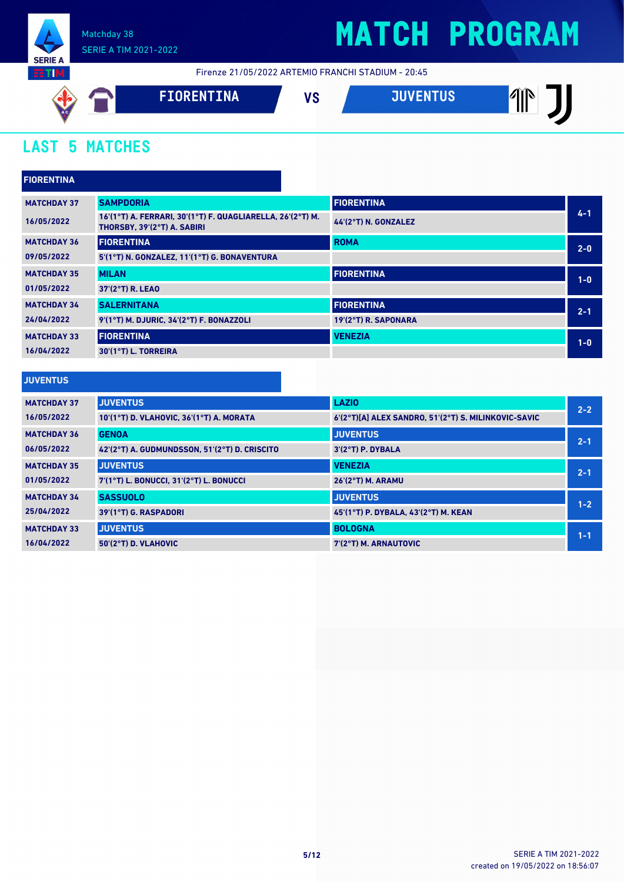

## **MATCH PROGRAM**

Firenze 21/05/2022 ARTEMIO FRANCHI STADIUM - 20:45



## **LAST 5 MATCHES**

| <b>FIORENTINA</b>  |                                                                                           |                      |         |
|--------------------|-------------------------------------------------------------------------------------------|----------------------|---------|
| <b>MATCHDAY 37</b> | <b>SAMPDORIA</b>                                                                          | <b>FIORENTINA</b>    |         |
| 16/05/2022         | 16'(1°T) A. FERRARI, 30'(1°T) F. QUAGLIARELLA, 26'(2°T) M.<br>THORSBY, 39'(2°T) A. SABIRI | 44'(2°T) N. GONZALEZ | $4 - 1$ |
| <b>MATCHDAY 36</b> | <b>FIORENTINA</b>                                                                         | <b>ROMA</b>          | $2 - 0$ |
| 09/05/2022         | 5'(1°T) N. GONZALEZ, 11'(1°T) G. BONAVENTURA                                              |                      |         |
| <b>MATCHDAY 35</b> | <b>MILAN</b>                                                                              | <b>FIORENTINA</b>    | $1-0$   |
| 01/05/2022         | 37'(2°T) R. LEAO                                                                          |                      |         |
| <b>MATCHDAY 34</b> | <b>SALERNITANA</b>                                                                        | <b>FIORENTINA</b>    | $2 - 1$ |
| 24/04/2022         | 9'(1°T) M. DJURIC, 34'(2°T) F. BONAZZOLI                                                  | 19'(2°T) R. SAPONARA |         |
| <b>MATCHDAY 33</b> | <b>FIORENTINA</b>                                                                         | <b>VENEZIA</b>       | $1-0$   |
| 16/04/2022         | 30'(1°T) L. TORREIRA                                                                      |                      |         |
|                    |                                                                                           |                      |         |

#### **JUVENTUS**

| <b>MATCHDAY 37</b> | <b>JUVENTUS</b>                               | <b>LAZIO</b>                                         | $2 - 2$ |
|--------------------|-----------------------------------------------|------------------------------------------------------|---------|
| 16/05/2022         | 10'(1°T) D. VLAHOVIC, 36'(1°T) A. MORATA      | 6'(2°T)[A] ALEX SANDRO, 51'(2°T) S. MILINKOVIC-SAVIC |         |
| <b>MATCHDAY 36</b> | <b>GENOA</b>                                  | <b>JUVENTUS</b>                                      | $2 - 1$ |
| 06/05/2022         | 42'(2°T) A. GUDMUNDSSON, 51'(2°T) D. CRISCITO | $3'(2°T)$ P. DYBALA                                  |         |
| <b>MATCHDAY 35</b> | <b>JUVENTUS</b>                               | <b>VENEZIA</b>                                       | $2 - 1$ |
| 01/05/2022         | 7'(1°T) L. BONUCCI, 31'(2°T) L. BONUCCI       | 26'(2°T) M. ARAMU                                    |         |
| <b>MATCHDAY 34</b> | <b>SASSUOLO</b>                               | <b>JUVENTUS</b>                                      | $1 - 2$ |
| 25/04/2022         | 39'(1°T) G. RASPADORI                         | 45'(1°T) P. DYBALA, 43'(2°T) M. KEAN                 |         |
| <b>MATCHDAY 33</b> | <b>JUVENTUS</b>                               | <b>BOLOGNA</b>                                       | $1 - 1$ |
| 16/04/2022         | 50'(2°T) D. VLAHOVIC                          | 7'(2°T) M. ARNAUTOVIC                                |         |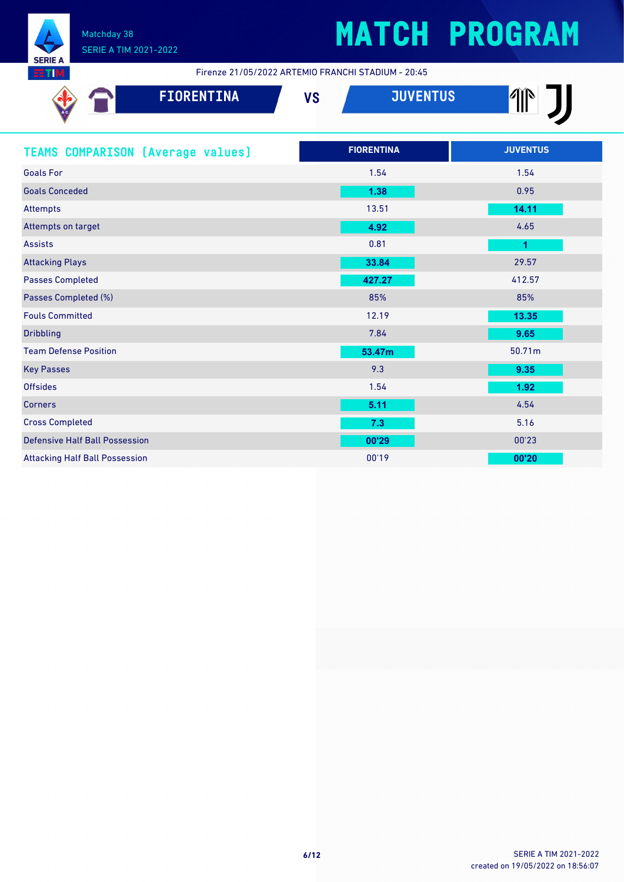

Firenze 21/05/2022 ARTEMIO FRANCHI STADIUM - 20:45

| <b>FIORENTINA</b>                        | <b>JUVENTUS</b><br><b>VS</b> | $\frac{1}{2}$        |
|------------------------------------------|------------------------------|----------------------|
| <b>TEAMS COMPARISON [Average values]</b> | <b>FIORENTINA</b>            | <b>JUVENTUS</b>      |
| <b>Goals For</b>                         | 1.54                         | 1.54                 |
| <b>Goals Conceded</b>                    | 1.38                         | 0.95                 |
| <b>Attempts</b>                          | 13.51                        | 14.11                |
| Attempts on target                       | 4.92                         | 4.65                 |
| <b>Assists</b>                           | 0.81                         | $\blacktriangleleft$ |
| <b>Attacking Plays</b>                   | 33.84                        | 29.57                |
| <b>Passes Completed</b>                  | 427.27                       | 412.57               |
| Passes Completed (%)                     | 85%                          | 85%                  |
| <b>Fouls Committed</b>                   | 12.19                        | 13.35                |
| <b>Dribbling</b>                         | 7.84                         | 9.65                 |
| <b>Team Defense Position</b>             | 53.47m                       | 50.71m               |
| <b>Key Passes</b>                        | 9.3                          | 9.35                 |
| <b>Offsides</b>                          | 1.54                         | 1.92                 |
| <b>Corners</b>                           | 5.11                         | 4.54                 |
| <b>Cross Completed</b>                   | 7.3                          | 5.16                 |
| <b>Defensive Half Ball Possession</b>    | 00'29                        | 00'23                |
| <b>Attacking Half Ball Possession</b>    | 00'19                        | 00'20                |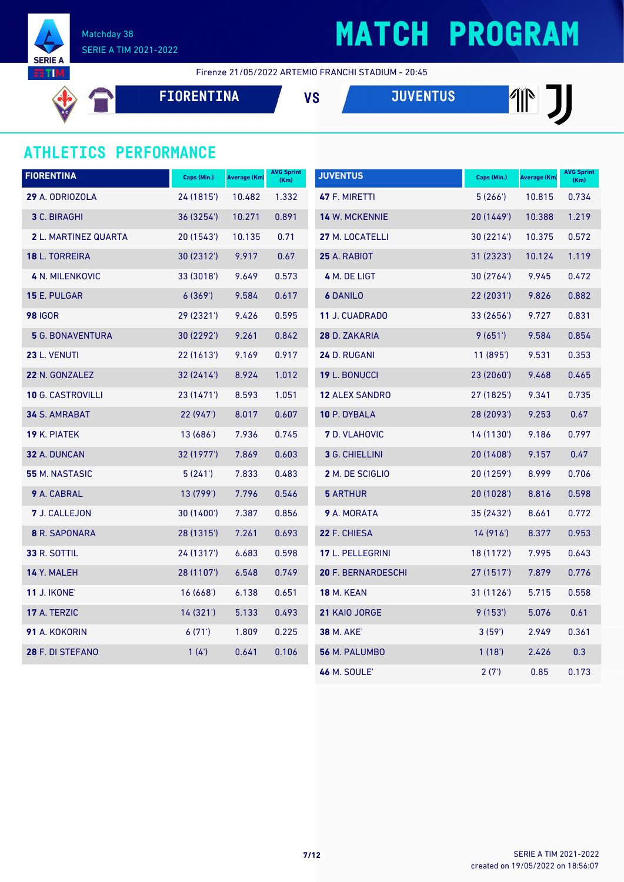

## **MATCH PROGRAM**

Firenze 21/05/2022 ARTEMIO FRANCHI STADIUM - 20:45

**FIORENTINA VS JUVENTUS**

### **ATHLETICS PERFORMANCE**

| <b>FIORENTINA</b>       | Caps (Min.) | <b>Average (Km)</b> | <b>AVG Sprint</b><br>(Km) | <b>JUVENTUS</b>       | Caps (Min.) | Average (Km) | <b>AVG Sprint</b><br>(Km) |
|-------------------------|-------------|---------------------|---------------------------|-----------------------|-------------|--------------|---------------------------|
| 29 A. ODRIOZOLA         | 24 (1815')  | 10.482              | 1.332                     | 47 F. MIRETTI         | 5(266)      | 10.815       | 0.734                     |
| <b>3 C. BIRAGHI</b>     | 36 (3254')  | 10.271              | 0.891                     | 14 W. MCKENNIE        | 20(1449)    | 10.388       | 1.219                     |
| 2 L. MARTINEZ QUARTA    | 20 (1543')  | 10.135              | 0.71                      | 27 M. LOCATELLI       | 30(2214)    | 10.375       | 0.572                     |
| <b>18 L. TORREIRA</b>   | 30 (2312')  | 9.917               | 0.67                      | <b>25 A. RABIOT</b>   | 31 (2323')  | 10.124       | 1.119                     |
| <b>4 N. MILENKOVIC</b>  | 33 (3018')  | 9.649               | 0.573                     | 4 M. DE LIGT          | 30 (2764')  | 9.945        | 0.472                     |
| <b>15 E. PULGAR</b>     | 6(369)      | 9.584               | 0.617                     | <b>6 DANILO</b>       | 22 (2031')  | 9.826        | 0.882                     |
| <b>98 IGOR</b>          | 29 (2321')  | 9.426               | 0.595                     | 11 J. CUADRADO        | 33(2656)    | 9.727        | 0.831                     |
| <b>5</b> G. BONAVENTURA | 30 (2292')  | 9.261               | 0.842                     | 28 D. ZAKARIA         | 9(651)      | 9.584        | 0.854                     |
| 23 L. VENUTI            | 22(1613)    | 9.169               | 0.917                     | 24 D. RUGANI          | 11(895)     | 9.531        | 0.353                     |
| 22 N. GONZALEZ          | 32(2414)    | 8.924               | 1.012                     | 19 L. BONUCCI         | 23 (2060')  | 9.468        | 0.465                     |
| 10 G. CASTROVILLI       | 23 (1471')  | 8.593               | 1.051                     | <b>12 ALEX SANDRO</b> | 27 (1825')  | 9.341        | 0.735                     |
| 34 S. AMRABAT           | 22 (947')   | 8.017               | 0.607                     | 10 P. DYBALA          | 28 (2093')  | 9.253        | 0.67                      |
| 19 K. PIATEK            | 13 (686')   | 7.936               | 0.745                     | <b>7</b> D. VLAHOVIC  | 14 (1130')  | 9.186        | 0.797                     |
| 32 A. DUNCAN            | 32 (1977')  | 7.869               | 0.603                     | 3 G. CHIELLINI        | 20(1408)    | 9.157        | 0.47                      |
| 55 M. NASTASIC          | 5(241)      | 7.833               | 0.483                     | 2 M. DE SCIGLIO       | 20 (1259')  | 8.999        | 0.706                     |
| 9 A. CABRAL             | 13 (799')   | 7.796               | 0.546                     | <b>5 ARTHUR</b>       | 20 (1028')  | 8.816        | 0.598                     |
| 7 J. CALLEJON           | 30 (1400')  | 7.387               | 0.856                     | 9 A. MORATA           | 35 (2432')  | 8.661        | 0.772                     |
| 8 R. SAPONARA           | 28 (1315')  | 7.261               | 0.693                     | 22 F. CHIESA          | 14(916)     | 8.377        | 0.953                     |
| <b>33 R. SOTTIL</b>     | 24 (1317')  | 6.683               | 0.598                     | 17 L. PELLEGRINI      | 18 (1172')  | 7.995        | 0.643                     |
| 14 Y. MALEH             | 28 (1107')  | 6.548               | 0.749                     | 20 F. BERNARDESCHI    | 27 (1517')  | 7.879        | 0.776                     |
| <b>11 J. IKONE'</b>     | 16(668)     | 6.138               | 0.651                     | <b>18 M. KEAN</b>     | 31 (1126')  | 5.715        | 0.558                     |
| 17 A. TERZIC            | 14 (321')   | 5.133               | 0.493                     | 21 KAIO JORGE         | 9(153)      | 5.076        | 0.61                      |
| 91 A. KOKORIN           | 6(71)       | 1.809               | 0.225                     | <b>38 M. AKE</b>      | 3(59)       | 2.949        | 0.361                     |
| 28 F. DI STEFANO        | 1(4)        | 0.641               | 0.106                     | 56 M. PALUMBO         | 1(18)       | 2.426        | 0.3                       |
|                         |             |                     |                           | <b>46 M. SOULE'</b>   | 2(7)        | 0.85         | 0.173                     |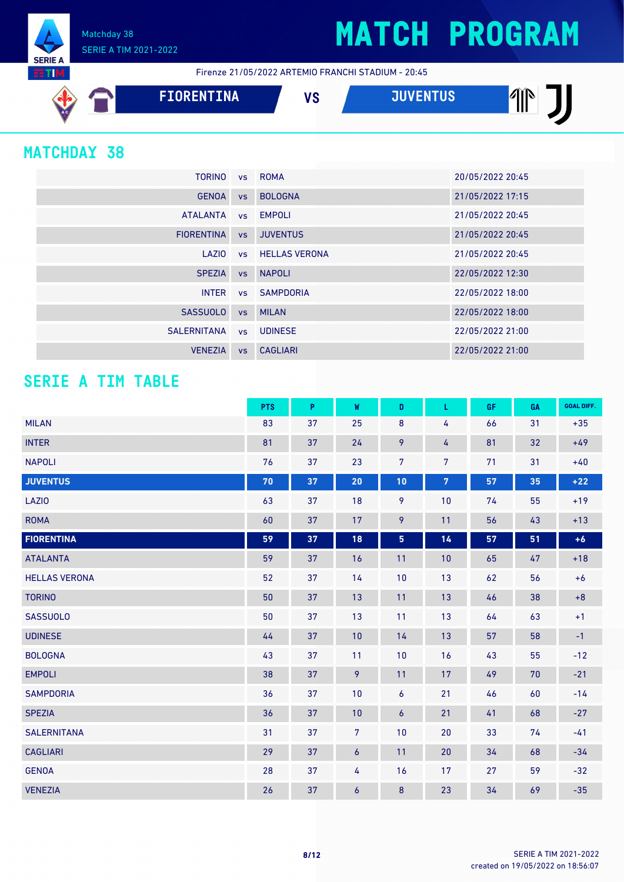Matchday 38 SERIE A TIM 2021-2022

Firenze 21/05/2022 ARTEMIO FRANCHI STADIUM - 20:45

| A C | FIORENTINA | 11 A<br>, c | <b>TURZENTUA</b><br>טע | AYN<br>Ш |
|-----|------------|-------------|------------------------|----------|
|     |            |             |                        |          |

### **MATCHDAY 38**

**SERIE** 

| <b>TORINO</b>     |           | vs ROMA                 | 20/05/2022 20:45 |
|-------------------|-----------|-------------------------|------------------|
| <b>GENOA</b>      | <b>VS</b> | <b>BOLOGNA</b>          | 21/05/2022 17:15 |
| <b>ATALANTA</b>   |           | vs EMPOLI               | 21/05/2022 20:45 |
| <b>FIORENTINA</b> | VS        | <b>JUVENTUS</b>         | 21/05/2022 20:45 |
| LAZIO             |           | <b>vs</b> HELLAS VERONA | 21/05/2022 20:45 |
| <b>SPEZIA</b>     | <b>VS</b> | <b>NAPOLI</b>           | 22/05/2022 12:30 |
| <b>INTER</b>      |           | vs SAMPDORIA            | 22/05/2022 18:00 |
| <b>SASSUOLO</b>   | <b>VS</b> | MILAN                   | 22/05/2022 18:00 |
| SALERNITANA       | VS        | <b>UDINESE</b>          | 22/05/2022 21:00 |
| <b>VENEZIA</b>    | <b>VS</b> | <b>CAGLIARI</b>         | 22/05/2022 21:00 |

### **SERIE A TIM TABLE**

|                      | <b>PTS</b> | P  | W                | D              | L              | GF | GA | <b>GOAL DIFF.</b> |
|----------------------|------------|----|------------------|----------------|----------------|----|----|-------------------|
| <b>MILAN</b>         | 83         | 37 | 25               | 8              | 4              | 66 | 31 | $+35$             |
| <b>INTER</b>         | 81         | 37 | 24               | 9              | 4              | 81 | 32 | $+49$             |
| <b>NAPOLI</b>        | 76         | 37 | 23               | $\overline{7}$ | $\overline{7}$ | 71 | 31 | $+40$             |
| <b>JUVENTUS</b>      | 70         | 37 | 20               | 10             | $\overline{7}$ | 57 | 35 | $+22$             |
| <b>LAZIO</b>         | 63         | 37 | 18               | 9              | 10             | 74 | 55 | $+19$             |
| <b>ROMA</b>          | 60         | 37 | 17               | 9              | 11             | 56 | 43 | $+13$             |
| <b>FIORENTINA</b>    | 59         | 37 | 18               | 5              | 14             | 57 | 51 | $+6$              |
| <b>ATALANTA</b>      | 59         | 37 | 16               | 11             | 10             | 65 | 47 | $+18$             |
| <b>HELLAS VERONA</b> | 52         | 37 | 14               | 10             | 13             | 62 | 56 | $+6$              |
| <b>TORINO</b>        | 50         | 37 | 13               | 11             | 13             | 46 | 38 | $+8$              |
| <b>SASSUOLO</b>      | 50         | 37 | 13               | 11             | 13             | 64 | 63 | $+1$              |
| <b>UDINESE</b>       | 44         | 37 | 10               | 14             | 13             | 57 | 58 | $-1$              |
| <b>BOLOGNA</b>       | 43         | 37 | 11               | 10             | 16             | 43 | 55 | $-12$             |
| <b>EMPOLI</b>        | 38         | 37 | 9                | 11             | 17             | 49 | 70 | $-21$             |
| <b>SAMPDORIA</b>     | 36         | 37 | 10               | 6              | 21             | 46 | 60 | $-14$             |
| <b>SPEZIA</b>        | 36         | 37 | 10               | 6              | 21             | 41 | 68 | $-27$             |
| <b>SALERNITANA</b>   | 31         | 37 | $\overline{7}$   | 10             | 20             | 33 | 74 | $-41$             |
| <b>CAGLIARI</b>      | 29         | 37 | $\boldsymbol{6}$ | 11             | 20             | 34 | 68 | $-34$             |
| <b>GENOA</b>         | 28         | 37 | 4                | 16             | 17             | 27 | 59 | $-32$             |
| <b>VENEZIA</b>       | 26         | 37 | 6                | 8              | 23             | 34 | 69 | $-35$             |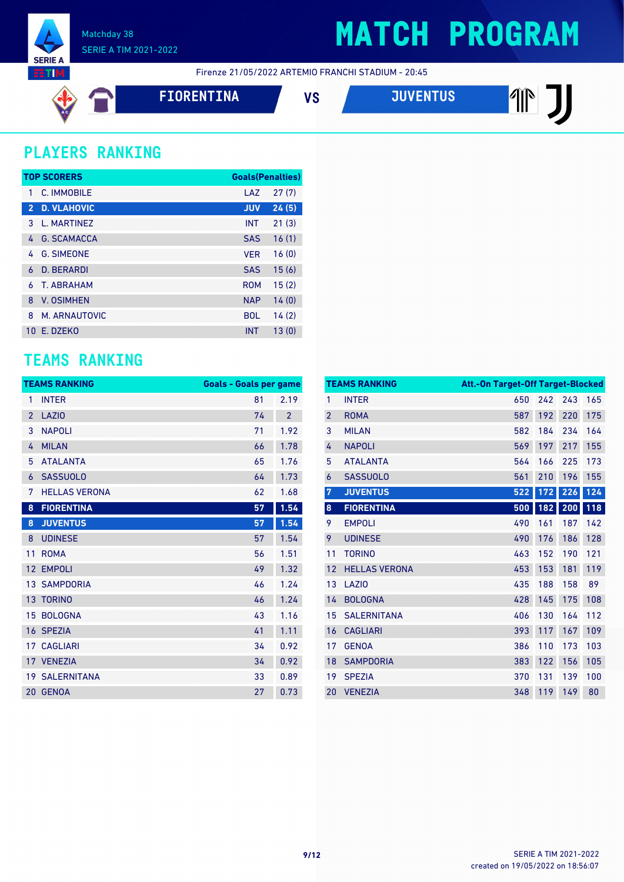

Firenze 21/05/2022 ARTEMIO FRANCHI STADIUM - 20:45

$$
\overline{\textcolor{blue}{\bigtriangledown}}
$$

**FIORENTINA VS JUVENTUS**

**THE J** 

### **PLAYERS RANKING**

|                | <b>TOP SCORERS</b> | <b>Goals(Penalties)</b> |       |
|----------------|--------------------|-------------------------|-------|
| 1              | C. IMMOBILE        | LAZ                     | 27(7) |
| $\overline{2}$ | <b>D. VLAHOVIC</b> | <b>JUV</b>              | 24(5) |
| 3              | L. MARTINEZ        | <b>INT</b>              | 21(3) |
| 4              | <b>G. SCAMACCA</b> | <b>SAS</b>              | 16(1) |
| 4              | <b>G. SIMEONE</b>  | <b>VER</b>              | 16(0) |
| 6              | <b>D. BERARDI</b>  | <b>SAS</b>              | 15(6) |
| 6              | <b>T. ABRAHAM</b>  | <b>ROM</b>              | 15(2) |
| 8              | <b>V. OSIMHEN</b>  | <b>NAP</b>              | 14(0) |
| 8              | M. ARNAUTOVIC      | <b>BOL</b>              | 14(2) |
| 10             | F. DZFKO           | <b>INT</b>              | 13(0) |

### **TEAMS RANKING**

|                | <b>TEAMS RANKING</b>  | <b>Goals - Goals per game</b> |                |
|----------------|-----------------------|-------------------------------|----------------|
| 1              | <b>INTER</b>          | 81                            | 2.19           |
| $\overline{2}$ | <b>LAZIO</b>          | 74                            | $\overline{2}$ |
| 3              | <b>NAPOLI</b>         | 71                            | 1.92           |
| 4              | <b>MILAN</b>          | 66                            | 1.78           |
| 5              | <b>ATALANTA</b>       | 65                            | 1.76           |
| 6              | <b>SASSUOLO</b>       | 64                            | 1.73           |
| 7              | <b>HELLAS VERONA</b>  | 62                            | 1.68           |
| 8              | <b>FIORENTINA</b>     | 57                            | 1.54           |
| 8              | <b>JUVENTUS</b>       | 57                            | 1.54           |
| 8              | <b>UDINESE</b>        | 57                            | 1.54           |
| 11             | <b>ROMA</b>           | 56                            | 1.51           |
| 12             | <b>EMPOLI</b>         | 49                            | 1.32           |
|                | <b>13 SAMPDORIA</b>   | 46                            | 1.24           |
|                | 13 TORINO             | 46                            | 1.24           |
| 15             | <b>BOLOGNA</b>        | 43                            | 1.16           |
| 16             | <b>SPEZIA</b>         | 41                            | 1.11           |
| 17             | <b>CAGLIARI</b>       | 34                            | 0.92           |
|                | 17 VENEZIA            | 34                            | 0.92           |
|                | <b>19 SALERNITANA</b> | 33                            | 0.89           |
| 20             | <b>GENOA</b>          | 27                            | 0.73           |

|                | <b>TEAMS RANKING</b> | Att.-On Target-Off Target-Blocked |     |     |     |
|----------------|----------------------|-----------------------------------|-----|-----|-----|
| 1              | <b>INTER</b>         | 650                               | 242 | 243 | 165 |
| $\overline{2}$ | <b>ROMA</b>          | 587                               | 192 | 220 | 175 |
| 3              | <b>MILAN</b>         | 582                               | 184 | 234 | 164 |
| 4              | <b>NAPOLI</b>        | 569                               | 197 | 217 | 155 |
| 5              | <b>ATALANTA</b>      | 564                               | 166 | 225 | 173 |
| 6              | <b>SASSUOLO</b>      | 561                               | 210 | 196 | 155 |
| $\overline{7}$ | <b>JUVENTUS</b>      | 522                               | 172 | 226 | 124 |
| $\pmb{8}$      | <b>FIORENTINA</b>    | 500                               | 182 | 200 | 118 |
| 9              | <b>EMPOLI</b>        | 490                               | 161 | 187 | 142 |
| 9              | <b>UDINESE</b>       | 490                               | 176 | 186 | 128 |
| 11             | <b>TORINO</b>        | 463                               | 152 | 190 | 121 |
| 12             | <b>HELLAS VERONA</b> | 453                               | 153 | 181 | 119 |
| 13             | LAZI <sub>0</sub>    | 435                               | 188 | 158 | 89  |
| 14             | <b>BOLOGNA</b>       | 428                               | 145 | 175 | 108 |
| 15             | <b>SALERNITANA</b>   | 406                               | 130 | 164 | 112 |
| 16             | <b>CAGLIARI</b>      | 393                               | 117 | 167 | 109 |
| 17             | <b>GENOA</b>         | 386                               | 110 | 173 | 103 |
| 18             | <b>SAMPDORIA</b>     | 383                               | 122 | 156 | 105 |
| 19             | <b>SPEZIA</b>        | 370                               | 131 | 139 | 100 |
| 20             | <b>VENEZIA</b>       | 348                               | 119 | 149 | 80  |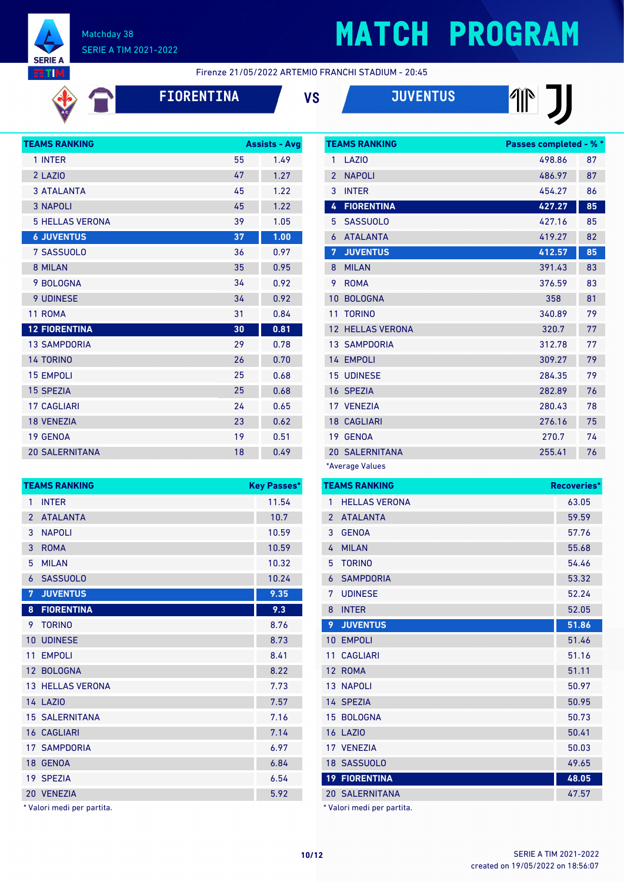

# **MATCH PROGRAM**

Firenze 21/05/2022 ARTEMIO FRANCHI STADIUM - 20:45

| <b>[ORENTIN</b> |  |  |  |
|-----------------|--|--|--|
|                 |  |  |  |



| <b>TEAMS RANKING</b>   |    | <b>Assists - Avg</b> |
|------------------------|----|----------------------|
| 1 INTER                | 55 | 1.49                 |
| 2 LAZIO                | 47 | 1.27                 |
| <b>3 ATALANTA</b>      | 45 | 1.22                 |
| <b>3 NAPOLI</b>        | 45 | 1.22                 |
| <b>5 HELLAS VERONA</b> | 39 | 1.05                 |
| <b>6 JUVENTUS</b>      | 37 | 1.00                 |
| 7 SASSUOLO             | 36 | 0.97                 |
| 8 MILAN                | 35 | 0.95                 |
| 9 BOLOGNA              | 34 | 0.92                 |
| <b>9 UDINESE</b>       | 34 | 0.92                 |
| 11 ROMA                | 31 | 0.84                 |
| <b>12 FIORENTINA</b>   | 30 | 0.81                 |
| <b>13 SAMPDORIA</b>    | 29 | 0.78                 |
| <b>14 TORINO</b>       | 26 | 0.70                 |
| <b>15 EMPOLI</b>       | 25 | 0.68                 |
| <b>15 SPEZIA</b>       | 25 | 0.68                 |
| <b>17 CAGLIARI</b>     | 24 | 0.65                 |
| <b>18 VENEZIA</b>      | 23 | 0.62                 |
| 19 GENOA               | 19 | 0.51                 |
| <b>20 SALERNITANA</b>  | 18 | 0.49                 |

| 1<br><b>INTER</b>                 | 11.54<br>10.7 |
|-----------------------------------|---------------|
|                                   |               |
| <b>ATALANTA</b><br>$\overline{2}$ |               |
| <b>NAPOLI</b><br>3                | 10.59         |
| 3<br><b>ROMA</b>                  | 10.59         |
| 5<br><b>MILAN</b>                 | 10.32         |
| <b>SASSUOLO</b><br>6              | 10.24         |
| 7<br><b>JUVENTUS</b>              | 9.35          |
| <b>FIORENTINA</b><br>8            | 9.3           |
| <b>TORINO</b><br>9                | 8.76          |
| <b>UDINESE</b><br>10              | 8.73          |
| <b>EMPOLI</b><br>11               | 8.41          |
| 12 BOLOGNA                        | 8.22          |
| <b>13 HELLAS VERONA</b>           | 7.73          |
| <b>14 LAZIO</b>                   | 7.57          |
| <b>15 SALERNITANA</b>             | 7.16          |
| <b>16 CAGLIARI</b>                | 7.14          |
| <b>17 SAMPDORIA</b>               | 6.97          |
| 18 GENOA                          | 6.84          |
| 19 SPEZIA                         | 6.54          |
| 20 VENEZIA                        | 5.92          |

Valori medi per partita.

|                | <b>TEAMS RANKING</b>    | <b>Passes completed - % *</b> |    |
|----------------|-------------------------|-------------------------------|----|
| 1              | LAZI <sub>0</sub>       | 498.86                        | 87 |
| $\overline{2}$ | <b>NAPOLI</b>           | 486.97                        | 87 |
| 3              | <b>INTER</b>            | 454.27                        | 86 |
| 4              | <b>FIORENTINA</b>       | 427.27                        | 85 |
| 5              | <b>SASSUOLO</b>         | 427.16                        | 85 |
| 6              | <b>ATALANTA</b>         | 419.27                        | 82 |
| 7              | <b>JUVENTUS</b>         | 412.57                        | 85 |
| 8              | <b>MILAN</b>            | 391.43                        | 83 |
| 9              | <b>ROMA</b>             | 376.59                        | 83 |
| 10             | <b>BOLOGNA</b>          | 358                           | 81 |
| 11             | <b>TORINO</b>           | 340.89                        | 79 |
|                | <b>12 HELLAS VERONA</b> | 320.7                         | 77 |
|                | <b>13 SAMPDORIA</b>     | 312.78                        | 77 |
|                | 14 EMPOLI               | 309.27                        | 79 |
|                | <b>15 UDINESE</b>       | 284.35                        | 79 |
|                | 16 SPEZIA               | 282.89                        | 76 |
|                | 17 VENEZIA              | 280.43                        | 78 |
|                | <b>18 CAGLIARI</b>      | 276.16                        | 75 |
|                | 19 GENOA                | 270.7                         | 74 |
|                | <b>20 SALERNITANA</b>   | 255.41                        | 76 |
|                | *Average Values         |                               |    |

|                | <b>TEAMS RANKING</b>  | Recoveries* |
|----------------|-----------------------|-------------|
| 1              | <b>HELLAS VERONA</b>  | 63.05       |
| $\mathfrak{p}$ | <b>ATALANTA</b>       | 59.59       |
| 3              | <b>GENOA</b>          | 57.76       |
| 4              | <b>MILAN</b>          | 55.68       |
| 5              | <b>TORINO</b>         | 54.46       |
| 6              | <b>SAMPDORIA</b>      | 53.32       |
| 7              | <b>UDINESE</b>        | 52.24       |
| 8              | <b>INTER</b>          | 52.05       |
| 9              | <b>JUVENTUS</b>       | 51.86       |
| 10             | <b>EMPOLI</b>         | 51.46       |
| 11             | <b>CAGLIARI</b>       | 51.16       |
| 12             | <b>ROMA</b>           | 51.11       |
|                | <b>13 NAPOLI</b>      | 50.97       |
|                | 14 SPEZIA             | 50.95       |
|                | 15 BOLOGNA            | 50.73       |
|                | <b>16 LAZIO</b>       | 50.41       |
|                | 17 VENEZIA            | 50.03       |
|                | 18 SASSUOLO           | 49.65       |
|                | <b>19 FIORENTINA</b>  | 48.05       |
|                | <b>20 SALERNITANA</b> | 47.57       |

Valori medi per partita.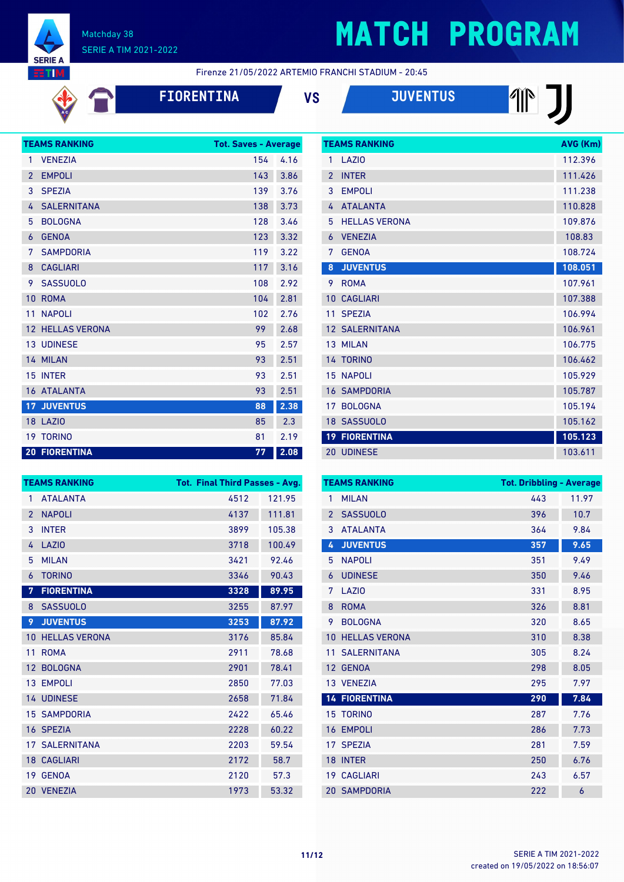

# **MATCH PROGRAM**

Firenze 21/05/2022 ARTEMIO FRANCHI STADIUM - 20:45

| <b>FIORENTIN</b> |
|------------------|
|------------------|

**FIORENTINA VS JUVENTUS**

|                | <b>TEAMS RANKING</b> | <b>Tot. Saves - Average</b> |      |
|----------------|----------------------|-----------------------------|------|
| 1              | <b>VENEZIA</b>       | 154                         | 4.16 |
| $\overline{2}$ | <b>EMPOLI</b>        | 143                         | 3.86 |
| 3              | <b>SPEZIA</b>        | 139                         | 3.76 |
| 4              | <b>SALERNITANA</b>   | 138                         | 3.73 |
| 5              | <b>BOLOGNA</b>       | 128                         | 3.46 |
| 6              | <b>GENOA</b>         | 123                         | 3.32 |
| 7              | <b>SAMPDORIA</b>     | 119                         | 3.22 |
| 8              | <b>CAGLIARI</b>      | 117                         | 3.16 |
| 9              | <b>SASSUOLO</b>      | 108                         | 2.92 |
| 10             | <b>ROMA</b>          | 104                         | 2.81 |
| 11             | <b>NAPOLI</b>        | 102                         | 2.76 |
| 12             | <b>HELLAS VERONA</b> | 99                          | 2.68 |
|                | <b>13 UDINESE</b>    | 95                          | 2.57 |
|                | 14 MILAN             | 93                          | 2.51 |
|                | 15 INTER             | 93                          | 2.51 |
|                | 16 ATALANTA          | 93                          | 2.51 |
| 17             | <b>JUVENTUS</b>      | 88                          | 2.38 |
|                | 18 LAZIO             | 85                          | 2.3  |
| 19             | <b>TORINO</b>        | 81                          | 2.19 |
|                | <b>20 FIORENTINA</b> | 77                          | 2.08 |

|                 | <b>TEAMS RANKING</b>  | AVG (Km) |
|-----------------|-----------------------|----------|
| 1               | LAZIO                 | 112.396  |
| $\overline{2}$  | <b>INTER</b>          | 111.426  |
| 3               | <b>EMPOLI</b>         | 111.238  |
| 4               | <b>ATALANTA</b>       | 110.828  |
| 5               | <b>HELLAS VERONA</b>  | 109.876  |
| 6               | <b>VENEZIA</b>        | 108.83   |
| 7               | <b>GENOA</b>          | 108.724  |
| 8               | <b>JUVENTUS</b>       | 108.051  |
| 9               | <b>ROMA</b>           | 107.961  |
| 10              | <b>CAGLIARI</b>       | 107.388  |
| 11              | <b>SPEZIA</b>         | 106.994  |
|                 | <b>12 SALERNITANA</b> | 106.961  |
|                 | 13 MILAN              | 106.775  |
|                 | 14 TORINO             | 106.462  |
|                 | <b>15 NAPOLI</b>      | 105.929  |
|                 | <b>16 SAMPDORIA</b>   | 105.787  |
| 17              | <b>BOLOGNA</b>        | 105.194  |
|                 | 18 SASSUOLO           | 105.162  |
| 19 <sup>7</sup> | <b>FIORENTINA</b>     | 105.123  |
|                 | <b>20 UDINESE</b>     | 103.611  |

| <b>TEAMS RANKING</b> |                       | <b>Tot. Final Third Passes - Avg.</b> |        |  |
|----------------------|-----------------------|---------------------------------------|--------|--|
| 1                    | <b>ATALANTA</b>       | 4512                                  | 121.95 |  |
| $\overline{2}$       | <b>NAPOLI</b>         | 4137                                  | 111.81 |  |
| 3                    | <b>INTER</b>          | 3899                                  | 105.38 |  |
| 4                    | <b>LAZIO</b>          | 3718                                  | 100.49 |  |
| 5                    | <b>MILAN</b>          | 3421                                  | 92.46  |  |
| 6                    | <b>TORINO</b>         | 3346                                  | 90.43  |  |
| 7                    | <b>FIORENTINA</b>     | 3328                                  | 89.95  |  |
| 8                    | <b>SASSUOLO</b>       | 3255                                  | 87.97  |  |
| 9                    | <b>JUVENTUS</b>       | 3253                                  | 87.92  |  |
| 10                   | <b>HELLAS VERONA</b>  | 3176                                  | 85.84  |  |
| 11                   | <b>ROMA</b>           | 2911                                  | 78.68  |  |
| 12                   | <b>BOLOGNA</b>        | 2901                                  | 78.41  |  |
| 13                   | <b>EMPOLI</b>         | 2850                                  | 77.03  |  |
|                      | <b>14 UDINESE</b>     | 2658                                  | 71.84  |  |
| 15                   | <b>SAMPDORIA</b>      | 2422                                  | 65.46  |  |
|                      | 16 SPEZIA             | 2228                                  | 60.22  |  |
|                      | <b>17 SALERNITANA</b> | 2203                                  | 59.54  |  |
|                      | <b>18 CAGLIARI</b>    | 2172                                  | 58.7   |  |
| 19                   | <b>GENOA</b>          | 2120                                  | 57.3   |  |
| 20                   | <b>VENEZIA</b>        | 1973                                  | 53.32  |  |

| <b>TEAMS RANKING</b> |                      | <b>Tot. Dribbling - Average</b> |       |  |
|----------------------|----------------------|---------------------------------|-------|--|
| 1                    | <b>MILAN</b>         | 443                             | 11.97 |  |
| $\overline{2}$       | <b>SASSUOLO</b>      | 396                             | 10.7  |  |
| 3                    | <b>ATALANTA</b>      | 364                             | 9.84  |  |
| 4                    | <b>JUVENTUS</b>      | 357                             | 9.65  |  |
| 5                    | <b>NAPOLI</b>        | 351                             | 9.49  |  |
| 6                    | <b>UDINESE</b>       | 350                             | 9.46  |  |
| 7                    | LAZIO                | 331                             | 8.95  |  |
| 8                    | <b>ROMA</b>          | 326                             | 8.81  |  |
| 9                    | <b>BOLOGNA</b>       | 320                             | 8.65  |  |
| 10                   | <b>HELLAS VERONA</b> | 310                             | 8.38  |  |
| 11                   | <b>SALERNITANA</b>   | 305                             | 8.24  |  |
| 12                   | <b>GENOA</b>         | 298                             | 8.05  |  |
|                      | 13 VENEZIA           | 295                             | 7.97  |  |
|                      | <b>14 FIORENTINA</b> | 290                             | 7.84  |  |
|                      | <b>15 TORINO</b>     | 287                             | 7.76  |  |
| 16                   | <b>EMPOLI</b>        | 286                             | 7.73  |  |
| 17                   | <b>SPEZIA</b>        | 281                             | 7.59  |  |
| 18                   | <b>INTER</b>         | 250                             | 6.76  |  |
| 19 <sup>°</sup>      | <b>CAGLIARI</b>      | 243                             | 6.57  |  |
|                      | <b>20 SAMPDORIA</b>  | 222                             | 6     |  |